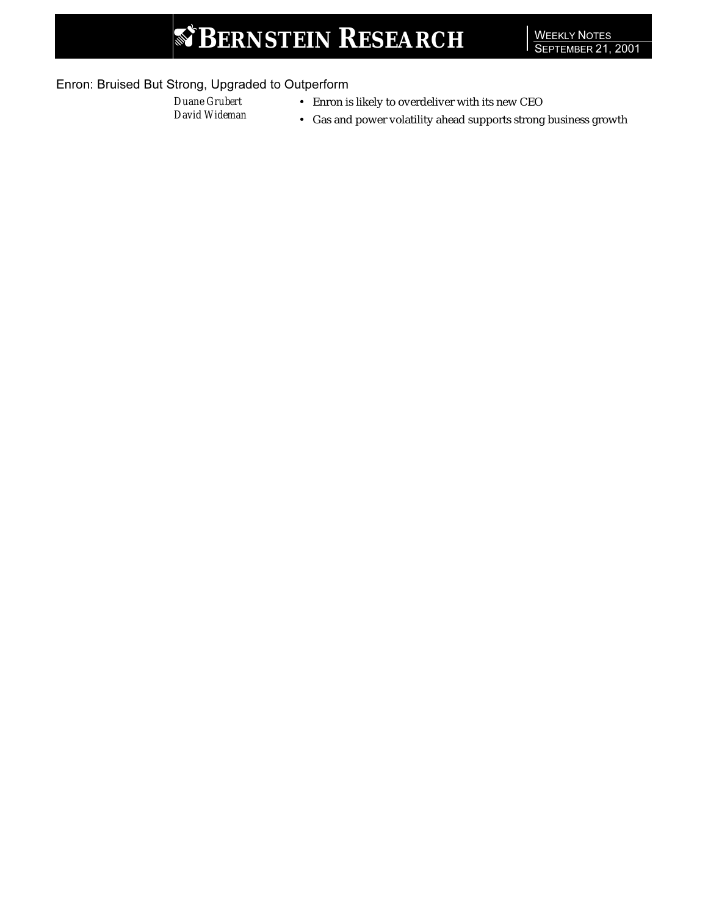# **S' BERNSTEIN RESEARCH**

### Enron: Bruised But Strong, Upgraded to Outperform

- 
- *Duane Grubert* Enron is likely to overdeliver with its new CEO David Wideman Cas and power volatility ahood supports strong
	- *David Wideman* Gas and power volatility ahead supports strong business growth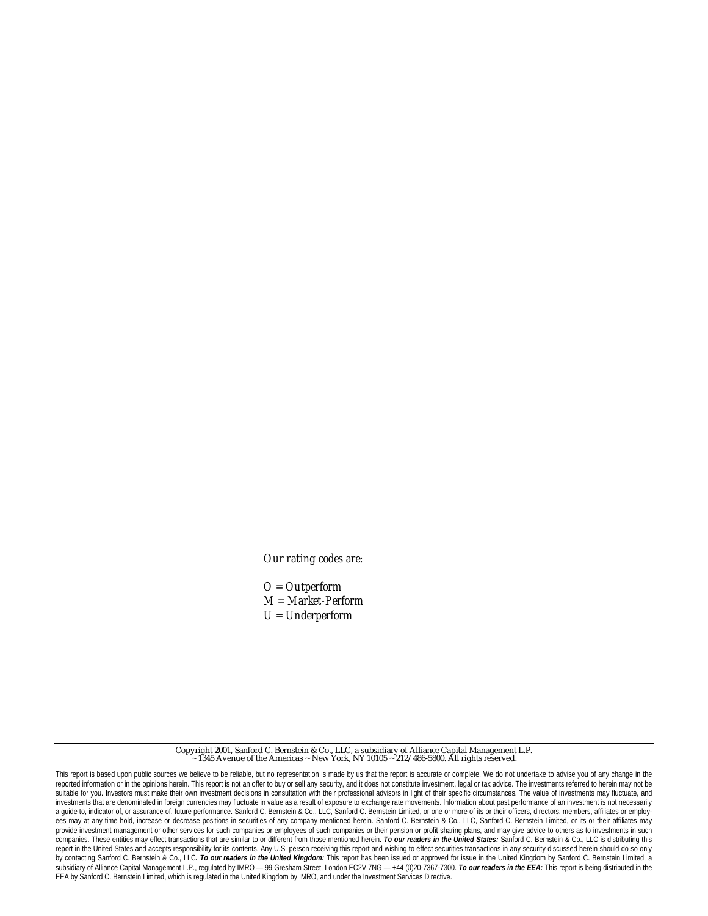*Our rating codes are:*

*O = Outperform M = Market-Perform U = Underperform*

Copyright 2001, Sanford C. Bernstein & Co., LLC, a subsidiary of Alliance Capital Management L.P. 1345 Avenue of the Americas ~ New York, NY 10105 ~  $212/486-5800$ . All rights reserved.

This report is based upon public sources we believe to be reliable, but no representation is made by us that the report is accurate or complete. We do not undertake to advise you of any change in the reported information or in the opinions herein. This report is not an offer to buy or sell any security, and it does not constitute investment, legal or tax advice. The investments referred to herein may not be suitable for you. Investors must make their own investment decisions in consultation with their professional advisors in light of their specific circumstances. The value of investments may fluctuate, and investments that are denominated in foreign currencies may fluctuate in value as a result of exposure to exchange rate movements. Information about past performance of an investment is not necessarily a guide to, indicator of, or assurance of, future performance. Sanford C. Bernstein & Co., LLC, Sanford C. Bernstein Limited, or one or more of its or their officers, directors, members, affiliates or employees may at any time hold, increase or decrease positions in securities of any company mentioned herein. Sanford C. Bernstein & Co., LLC, Sanford C. Bernstein Limited, or its or their affiliates may provide investment management or other services for such companies or employees of such companies or their pension or profit sharing plans, and may give advice to others as to investments in such companies. These entities may effect transactions that are similar to or different from those mentioned herein. *To our readers in the United States:* Sanford C. Bernstein & Co., LLC is distributing this report in the United States and accepts responsibility for its contents. Any U.S. person receiving this report and wishing to effect securities transactions in any security discussed herein should do so only by contacting Sanford C. Bernstein & Co., LLC. To our readers in the United Kingdom: This report has been issued or approved for issue in the United Kingdom by Sanford C. Bernstein Limited, a subsidiary of Alliance Capital Management L.P., regulated by IMRO — 99 Gresham Street, London EC2V 7NG — +44 (0)20-7367-7300. *To our readers in the EEA:* This report is being distributed in the EEA by Sanford C. Bernstein Limited, which is regulated in the United Kingdom by IMRO, and under the Investment Services Directive.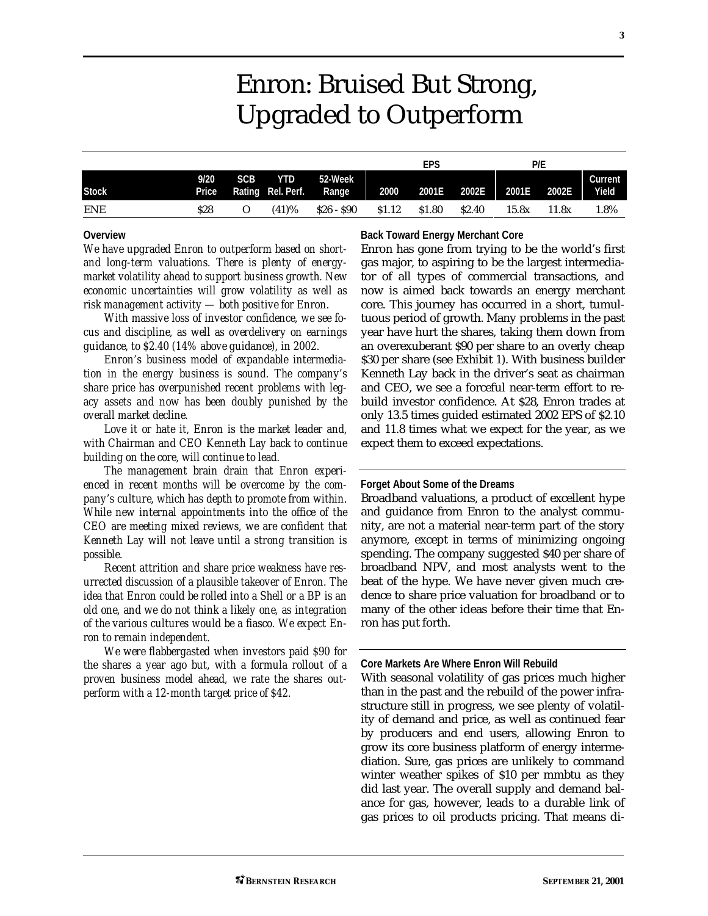## Enron: Bruised But Strong, Upgraded to Outperform

|              |      |                  |                                             |           |                   | EPS    |              | P/E   |       |                  |
|--------------|------|------------------|---------------------------------------------|-----------|-------------------|--------|--------------|-------|-------|------------------|
| <b>Stock</b> | 9/20 | SCB <sup>1</sup> | <b>YTD</b><br>Price Rating Rel. Perf. Range | 52-Week   | 2000              | 2001E  | 2002E        | 2001E | 2002E | Current<br>Yield |
| <b>ENE</b>   | \$28 | O                | (41)%                                       | S26 - S90 | S <sub>1.12</sub> | \$1.80 | <b>S2.40</b> | 15.8x | 11.8x | 1.8%             |

#### **Overview**

*We have upgraded Enron to outperform based on shortand long-term valuations. There is plenty of energymarket volatility ahead to support business growth. New economic uncertainties will grow volatility as well as risk management activity — both positive for Enron.*

*With massive loss of investor confidence, we see focus and discipline, as well as overdelivery on earnings guidance, to \$2.40 (14% above guidance), in 2002.*

*Enron's business model of expandable intermediation in the energy business is sound. The company's share price has overpunished recent problems with legacy assets and now has been doubly punished by the overall market decline.*

*Love it or hate it, Enron is the market leader and, with Chairman and CEO Kenneth Lay back to continue building on the core, will continue to lead.*

*The management brain drain that Enron experienced in recent months will be overcome by the company's culture, which has depth to promote from within. While new internal appointments into the office of the CEO are meeting mixed reviews, we are confident that Kenneth Lay will not leave until a strong transition is possible.*

*Recent attrition and share price weakness have resurrected discussion of a plausible takeover of Enron. The idea that Enron could be rolled into a Shell or a BP is an old one, and we do not think a likely one, as integration of the various cultures would be a fiasco. We expect Enron to remain independent.*

*We were flabbergasted when investors paid \$90 for the shares a year ago but, with a formula rollout of a proven business model ahead, we rate the shares outperform with a 12-month target price of \$42.*

#### **Back Toward Energy Merchant Core**

Enron has gone from trying to be the world's first gas major, to aspiring to be the largest intermediator of all types of commercial transactions, and now is aimed back towards an energy merchant core. This journey has occurred in a short, tumultuous period of growth. Many problems in the past year have hurt the shares, taking them down from an overexuberant \$90 per share to an overly cheap \$30 per share (see Exhibit 1). With business builder Kenneth Lay back in the driver's seat as chairman and CEO, we see a forceful near-term effort to rebuild investor confidence. At \$28, Enron trades at only 13.5 times guided estimated 2002 EPS of \$2.10 and 11.8 times what we expect for the year, as we expect them to exceed expectations.

#### **Forget About Some of the Dreams**

Broadband valuations, a product of excellent hype and guidance from Enron to the analyst community, are not a material near-term part of the story anymore, except in terms of minimizing ongoing spending. The company suggested \$40 per share of broadband NPV, and most analysts went to the beat of the hype. We have never given much credence to share price valuation for broadband or to many of the other ideas before their time that Enron has put forth.

#### **Core Markets Are Where Enron Will Rebuild**

With seasonal volatility of gas prices much higher than in the past and the rebuild of the power infrastructure still in progress, we see plenty of volatility of demand and price, as well as continued fear by producers and end users, allowing Enron to grow its core business platform of energy intermediation. Sure, gas prices are unlikely to command winter weather spikes of \$10 per mmbtu as they did last year. The overall supply and demand balance for gas, however, leads to a durable link of gas prices to oil products pricing. That means di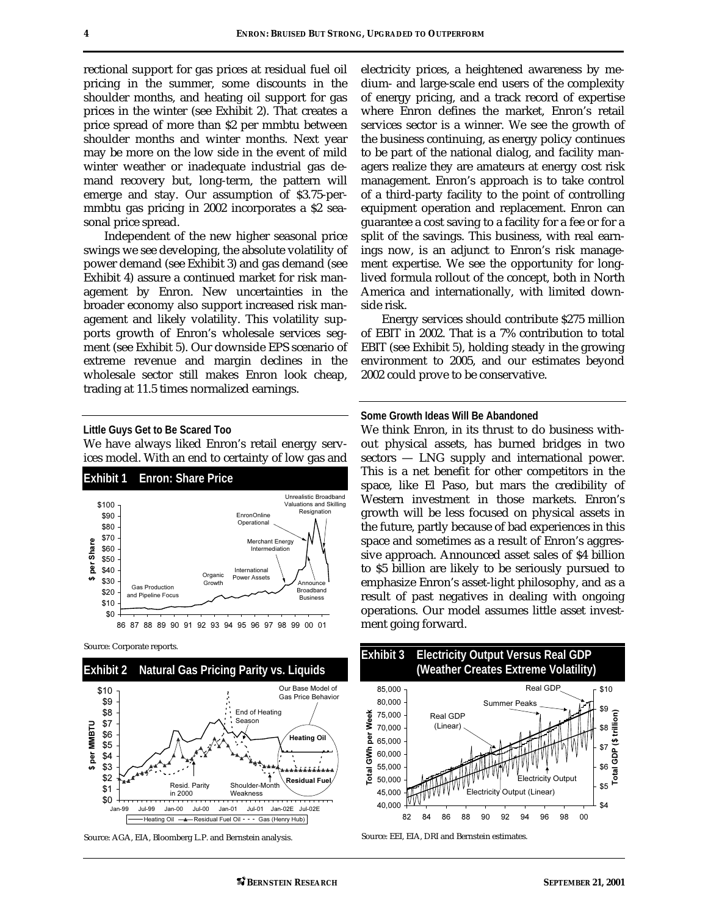rectional support for gas prices at residual fuel oil pricing in the summer, some discounts in the shoulder months, and heating oil support for gas prices in the winter (see Exhibit 2). That creates a price spread of more than \$2 per mmbtu between shoulder months and winter months. Next year may be more on the low side in the event of mild winter weather or inadequate industrial gas demand recovery but, long-term, the pattern will emerge and stay. Our assumption of \$3.75-permmbtu gas pricing in 2002 incorporates a \$2 seasonal price spread.

Independent of the new higher seasonal price swings we see developing, the absolute volatility of power demand (see Exhibit 3) and gas demand (see Exhibit 4) assure a continued market for risk management by Enron. New uncertainties in the broader economy also support increased risk management and likely volatility. This volatility supports growth of Enron's wholesale services segment (see Exhibit 5). Our downside EPS scenario of extreme revenue and margin declines in the wholesale sector still makes Enron look cheap, trading at 11.5 times normalized earnings.

#### **Little Guys Get to Be Scared Too**

We have always liked Enron's retail energy services model. With an end to certainty of low gas and



Source: Corporate reports.



Source: AGA, EIA, Bloomberg L.P. and Bernstein analysis.

electricity prices, a heightened awareness by medium- and large-scale end users of the complexity of energy pricing, and a track record of expertise where Enron defines the market, Enron's retail services sector is a winner. We see the growth of the business continuing, as energy policy continues to be part of the national dialog, and facility managers realize they are amateurs at energy cost risk management. Enron's approach is to take control of a third-party facility to the point of controlling equipment operation and replacement. Enron can guarantee a cost saving to a facility for a fee or for a split of the savings. This business, with real earnings now, is an adjunct to Enron's risk management expertise. We see the opportunity for longlived formula rollout of the concept, both in North America and internationally, with limited downside risk.

Energy services should contribute \$275 million of EBIT in 2002. That is a 7% contribution to total EBIT (see Exhibit 5), holding steady in the growing environment to 2005, and our estimates beyond 2002 could prove to be conservative.

#### **Some Growth Ideas Will Be Abandoned**

We think Enron, in its thrust to do business without physical assets, has burned bridges in two sectors — LNG supply and international power. This is a net benefit for other competitors in the space, like El Paso, but mars the credibility of Western investment in those markets. Enron's growth will be less focused on physical assets in the future, partly because of bad experiences in this space and sometimes as a result of Enron's aggressive approach. Announced asset sales of \$4 billion to \$5 billion are likely to be seriously pursued to emphasize Enron's asset-light philosophy, and as a result of past negatives in dealing with ongoing operations. Our model assumes little asset investment going forward.

![](_page_3_Figure_14.jpeg)

Source: EEI, EIA, DRI and Bernstein estimates.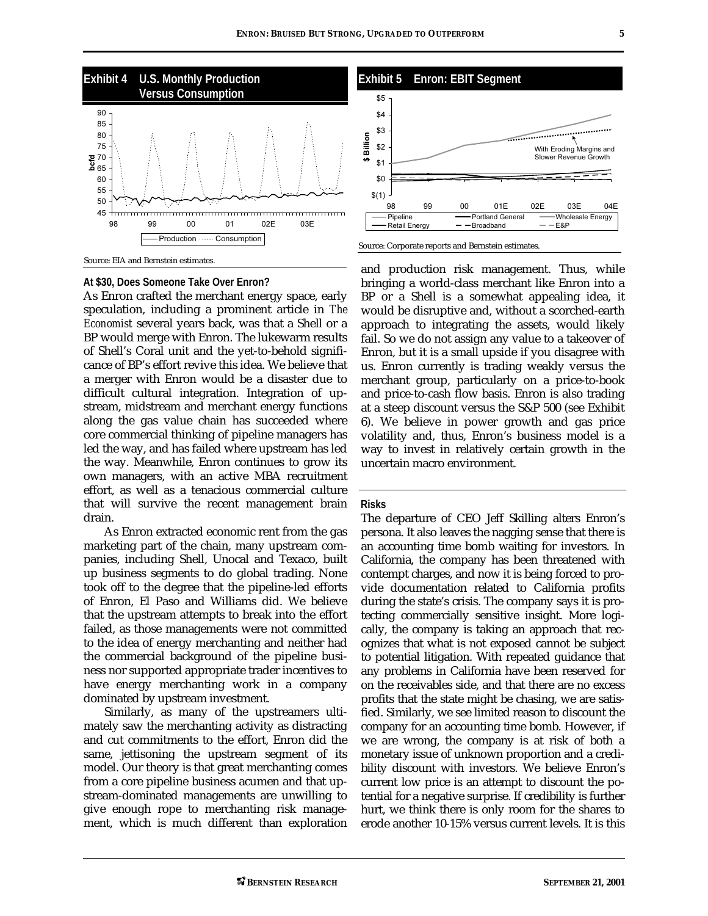![](_page_4_Figure_1.jpeg)

Source: EIA and Bernstein estimates.

#### **At \$30, Does Someone Take Over Enron?**

As Enron crafted the merchant energy space, early speculation, including a prominent article in *The Economist* several years back, was that a Shell or a BP would merge with Enron. The lukewarm results of Shell's Coral unit and the yet-to-behold significance of BP's effort revive this idea. We believe that a merger with Enron would be a disaster due to difficult cultural integration. Integration of upstream, midstream and merchant energy functions along the gas value chain has succeeded where core commercial thinking of pipeline managers has led the way, and has failed where upstream has led the way. Meanwhile, Enron continues to grow its own managers, with an active MBA recruitment effort, as well as a tenacious commercial culture that will survive the recent management brain drain.

As Enron extracted economic rent from the gas marketing part of the chain, many upstream companies, including Shell, Unocal and Texaco, built up business segments to do global trading. None took off to the degree that the pipeline-led efforts of Enron, El Paso and Williams did. We believe that the upstream attempts to break into the effort failed, as those managements were not committed to the idea of energy merchanting and neither had the commercial background of the pipeline business nor supported appropriate trader incentives to have energy merchanting work in a company dominated by upstream investment.

Similarly, as many of the upstreamers ultimately saw the merchanting activity as distracting and cut commitments to the effort, Enron did the same, jettisoning the upstream segment of its model. Our theory is that great merchanting comes from a core pipeline business acumen and that upstream-dominated managements are unwilling to give enough rope to merchanting risk management, which is much different than exploration

![](_page_4_Figure_7.jpeg)

and production risk management. Thus, while bringing a world-class merchant like Enron into a BP or a Shell is a somewhat appealing idea, it would be disruptive and, without a scorched-earth approach to integrating the assets, would likely fail. So we do not assign any value to a takeover of Enron, but it is a small upside if you disagree with us. Enron currently is trading weakly versus the merchant group, particularly on a price-to-book and price-to-cash flow basis. Enron is also trading at a steep discount versus the S&P 500 (see Exhibit 6). We believe in power growth and gas price volatility and, thus, Enron's business model is a way to invest in relatively certain growth in the uncertain macro environment.

#### **Risks**

The departure of CEO Jeff Skilling alters Enron's persona. It also leaves the nagging sense that there is an accounting time bomb waiting for investors. In California, the company has been threatened with contempt charges, and now it is being forced to provide documentation related to California profits during the state's crisis. The company says it is protecting commercially sensitive insight. More logically, the company is taking an approach that recognizes that what is not exposed cannot be subject to potential litigation. With repeated guidance that any problems in California have been reserved for on the receivables side, and that there are no excess profits that the state might be chasing, we are satisfied. Similarly, we see limited reason to discount the company for an accounting time bomb. However, if we are wrong, the company is at risk of both a monetary issue of unknown proportion and a credibility discount with investors. We believe Enron's current low price is an attempt to discount the potential for a negative surprise. If credibility is further hurt, we think there is only room for the shares to erode another 10-15% versus current levels. It is this